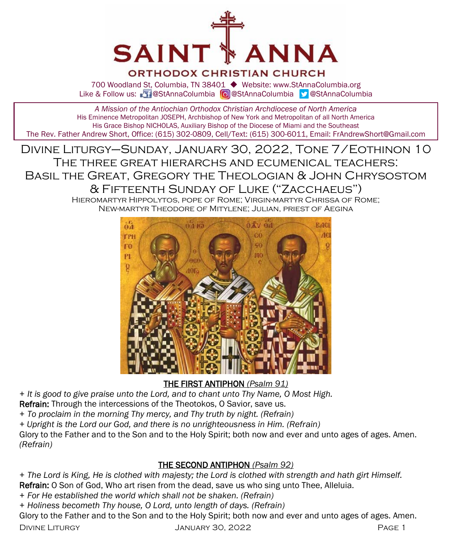

## ORTHODOX CHRISTIAN CHURCH

700 Woodland St, Columbia, TN 38401 ◆ Website: www.StAnnaColumbia.org Like & Follow us: 20 @StAnnaColumbia **@**StAnnaColumbia **@StAnnaColumbia** 

*A Mission of the Antiochian Orthodox Christian Archdiocese of North America* His Eminence Metropolitan JOSEPH, Archbishop of New York and Metropolitan of all North America His Grace Bishop NICHOLAS, Auxiliary Bishop of the Diocese of Miami and the Southeast The Rev. Father Andrew Short, Office: (615) 302-0809, Cell/Text: (615) 300-6011, Email: FrAndrewShort@Gmail.com

Divine Liturgy–Sunday, January 30, 2022, Tone 7/Eothinon 10 The three great hierarchs and ecumenical teachers: Basil the Great, Gregory the Theologian & John Chrysostom & Fifteenth Sunday of Luke ("Zacchaeus")

Hieromartyr Hippolytos, pope of Rome; Virgin-martyr Chrissa of Rome; New-martyr Theodore of Mitylene; Julian, priest of Aegina



THE FIRST ANTIPHON *(Psalm 91)*

*+ It is good to give praise unto the Lord, and to chant unto Thy Name, O Most High.*

Refrain: Through the intercessions of the Theotokos, O Savior, save us.

*+ To proclaim in the morning Thy mercy, and Thy truth by night. (Refrain)*

*+ Upright is the Lord our God, and there is no unrighteousness in Him. (Refrain)*

Glory to the Father and to the Son and to the Holy Spirit; both now and ever and unto ages of ages. Amen. *(Refrain)*

## THE SECOND ANTIPHON *(Psalm 92)*

*+ The Lord is King, He is clothed with majesty; the Lord is clothed with strength and hath girt Himself.* Refrain: O Son of God, Who art risen from the dead, save us who sing unto Thee, Alleluia.

*+ For He established the world which shall not be shaken. (Refrain)*

*+ Holiness becometh Thy house, O Lord, unto length of days. (Refrain)*

Glory to the Father and to the Son and to the Holy Spirit; both now and ever and unto ages of ages. Amen.

Divine Liturgy January 30, 2022 Page 1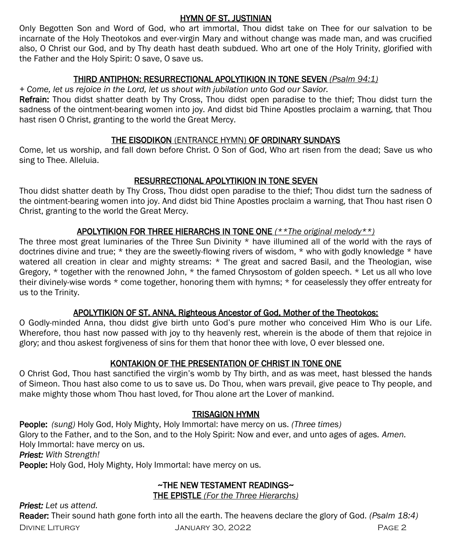#### HYMN OF ST. JUSTINIAN

Only Begotten Son and Word of God, who art immortal, Thou didst take on Thee for our salvation to be incarnate of the Holy Theotokos and ever-virgin Mary and without change was made man, and was crucified also, O Christ our God, and by Thy death hast death subdued. Who art one of the Holy Trinity, glorified with the Father and the Holy Spirit: O save, O save us.

#### THIRD ANTIPHON: RESURRECTIONAL APOLYTIKION IN TONE SEVEN *(Psalm 94:1)*

*+ Come, let us rejoice in the Lord, let us shout with jubilation unto God our Savior.* 

Refrain: Thou didst shatter death by Thy Cross, Thou didst open paradise to the thief: Thou didst turn the sadness of the ointment-bearing women into joy. And didst bid Thine Apostles proclaim a warning, that Thou hast risen O Christ, granting to the world the Great Mercy.

## THE EISODIKON (ENTRANCE HYMN) OF ORDINARY SUNDAYS

Come, let us worship, and fall down before Christ. O Son of God, Who art risen from the dead; Save us who sing to Thee. Alleluia.

## RESURRECTIONAL APOLYTIKION IN TONE SEVEN

Thou didst shatter death by Thy Cross, Thou didst open paradise to the thief; Thou didst turn the sadness of the ointment-bearing women into joy. And didst bid Thine Apostles proclaim a warning, that Thou hast risen O Christ, granting to the world the Great Mercy.

## APOLYTIKION FOR THREE HIERARCHS IN TONE ONE *(\*\*The original melody\*\*)*

The three most great luminaries of the Three Sun Divinity \* have illumined all of the world with the rays of doctrines divine and true; \* they are the sweetly-flowing rivers of wisdom, \* who with godly knowledge \* have watered all creation in clear and mighty streams: \* The great and sacred Basil, and the Theologian, wise Gregory, \* together with the renowned John, \* the famed Chrysostom of golden speech. \* Let us all who love their divinely-wise words \* come together, honoring them with hymns; \* for ceaselessly they offer entreaty for us to the Trinity.

## APOLYTIKION OF ST. ANNA, Righteous Ancestor of God, Mother of the Theotokos:

O Godly-minded Anna, thou didst give birth unto God's pure mother who conceived Him Who is our Life. Wherefore, thou hast now passed with joy to thy heavenly rest, wherein is the abode of them that rejoice in glory; and thou askest forgiveness of sins for them that honor thee with love, O ever blessed one.

## KONTAKION OF THE PRESENTATION OF CHRIST IN TONE ONE

O Christ God, Thou hast sanctified the virgin's womb by Thy birth, and as was meet, hast blessed the hands of Simeon. Thou hast also come to us to save us. Do Thou, when wars prevail, give peace to Thy people, and make mighty those whom Thou hast loved, for Thou alone art the Lover of mankind.

## TRISAGION HYMN

People: *(sung)* Holy God, Holy Mighty, Holy Immortal: have mercy on us. *(Three times)*  Glory to the Father, and to the Son, and to the Holy Spirit: Now and ever, and unto ages of ages. *Amen.*  Holy Immortal: have mercy on us.

*Priest: With Strength!*

People: Holy God, Holy Mighty, Holy Immortal: have mercy on us.

## ~THE NEW TESTAMENT READINGS~

THE EPISTLE *(For the Three Hierarchs)* 

*Priest: Let us attend.*

Divine Liturgy January 30, 2022 Page 2 Reader: Their sound hath gone forth into all the earth. The heavens declare the glory of God. *(Psalm 18:4)*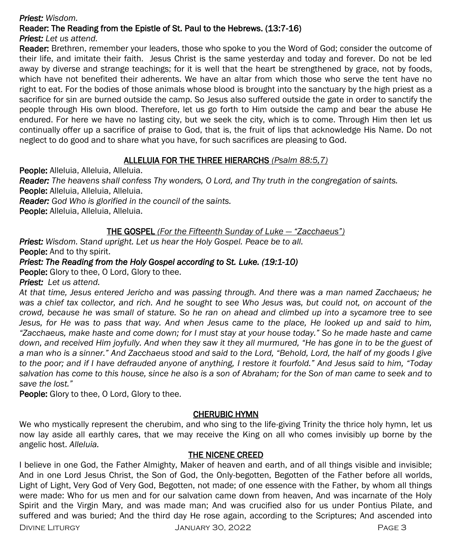#### *Priest: Wisdom.*

#### Reader: The Reading from the Epistle of St. Paul to the Hebrews. (13:7-16)

*Priest: Let us attend.*

Reader: Brethren, remember your leaders, those who spoke to you the Word of God; consider the outcome of their life, and imitate their faith. Jesus Christ is the same yesterday and today and forever. Do not be led away by diverse and strange teachings; for it is well that the heart be strengthened by grace, not by foods, which have not benefited their adherents. We have an altar from which those who serve the tent have no right to eat. For the bodies of those animals whose blood is brought into the sanctuary by the high priest as a sacrifice for sin are burned outside the camp. So Jesus also suffered outside the gate in order to sanctify the people through His own blood. Therefore, let us go forth to Him outside the camp and bear the abuse He endured. For here we have no lasting city, but we seek the city, which is to come. Through Him then let us continually offer up a sacrifice of praise to God, that is, the fruit of lips that acknowledge His Name. Do not neglect to do good and to share what you have, for such sacrifices are pleasing to God.

#### ALLELUIA FOR THE THREE HIERARCHS *(Psalm 88:5,7)*

People: Alleluia, Alleluia, Alleluia.

*Reader: The heavens shall confess Thy wonders, O Lord, and Thy truth in the congregation of saints.* People: Alleluia, Alleluia, Alleluia.

*Reader: God Who is glorified in the council of the saints.*

People: Alleluia, Alleluia, Alleluia.

## THE GOSPEL *(For the Fifteenth Sunday of Luke — "Zacchaeus")*

*Priest: Wisdom. Stand upright. Let us hear the Holy Gospel. Peace be to all.* People: And to thy spirit.

#### *Priest: The Reading from the Holy Gospel according to St. Luke. (19:1-10)*

People: Glory to thee, O Lord, Glory to thee.

*Priest: Let us attend.* 

*At that time, Jesus entered Jericho and was passing through. And there was a man named Zacchaeus; he was a chief tax collector, and rich. And he sought to see Who Jesus was, but could not, on account of the crowd, because he was small of stature. So he ran on ahead and climbed up into a sycamore tree to see Jesus, for He was to pass that way. And when Jesus came to the place, He looked up and said to him, "Zacchaeus, make haste and come down; for I must stay at your house today." So he made haste and came*  down, and received Him joyfully. And when they saw it they all murmured, "He has gone in to be the guest of *a man who is a sinner." And Zacchaeus stood and said to the Lord, "Behold, Lord, the half of my goods I give to the poor; and if I have defrauded anyone of anything, I restore it fourfold." And Jesus said to him, "Today salvation has come to this house, since he also is a son of Abraham; for the Son of man came to seek and to save the lost."*

**People:** Glory to thee, O Lord, Glory to thee.

## CHERUBIC HYMN

We who mystically represent the cherubim, and who sing to the life-giving Trinity the thrice holy hymn, let us now lay aside all earthly cares, that we may receive the King on all who comes invisibly up borne by the angelic host. *Alleluia.*

#### THE NICENE CREED

I believe in one God, the Father Almighty, Maker of heaven and earth, and of all things visible and invisible; And in one Lord Jesus Christ, the Son of God, the Only-begotten, Begotten of the Father before all worlds, Light of Light, Very God of Very God, Begotten, not made; of one essence with the Father, by whom all things were made: Who for us men and for our salvation came down from heaven, And was incarnate of the Holy Spirit and the Virgin Mary, and was made man; And was crucified also for us under Pontius Pilate, and suffered and was buried; And the third day He rose again, according to the Scriptures; And ascended into

Divine Liturgy January 30, 2022 Page 3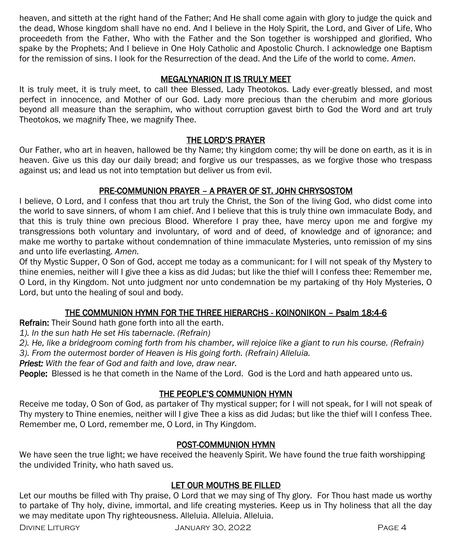heaven, and sitteth at the right hand of the Father; And He shall come again with glory to judge the quick and the dead, Whose kingdom shall have no end. And I believe in the Holy Spirit, the Lord, and Giver of Life, Who proceedeth from the Father, Who with the Father and the Son together is worshipped and glorified, Who spake by the Prophets; And I believe in One Holy Catholic and Apostolic Church. I acknowledge one Baptism for the remission of sins. I look for the Resurrection of the dead. And the Life of the world to come. *Amen.*

#### MEGALYNARION IT IS TRULY MEET

It is truly meet, it is truly meet, to call thee Blessed, Lady Theotokos. Lady ever-greatly blessed, and most perfect in innocence, and Mother of our God. Lady more precious than the cherubim and more glorious beyond all measure than the seraphim, who without corruption gavest birth to God the Word and art truly Theotokos, we magnify Thee, we magnify Thee.

#### THE LORD'S PRAYER

Our Father, who art in heaven, hallowed be thy Name; thy kingdom come; thy will be done on earth, as it is in heaven. Give us this day our daily bread; and forgive us our trespasses, as we forgive those who trespass against us; and lead us not into temptation but deliver us from evil.

## PRE-COMMUNION PRAYER – A PRAYER OF ST. JOHN CHRYSOSTOM

I believe, O Lord, and I confess that thou art truly the Christ, the Son of the living God, who didst come into the world to save sinners, of whom I am chief. And I believe that this is truly thine own immaculate Body, and that this is truly thine own precious Blood. Wherefore I pray thee, have mercy upon me and forgive my transgressions both voluntary and involuntary, of word and of deed, of knowledge and of ignorance; and make me worthy to partake without condemnation of thine immaculate Mysteries, unto remission of my sins and unto life everlasting. *Amen.*

Of thy Mystic Supper, O Son of God, accept me today as a communicant: for I will not speak of thy Mystery to thine enemies, neither will I give thee a kiss as did Judas; but like the thief will I confess thee: Remember me, O Lord, in thy Kingdom. Not unto judgment nor unto condemnation be my partaking of thy Holy Mysteries, O Lord, but unto the healing of soul and body.

## THE COMMUNION HYMN FOR THE THREE HIERARCHS - KOINONIKON – Psalm 18:4-6

Refrain: Their Sound hath gone forth into all the earth.

*1). In the sun hath He set His tabernacle. (Refrain)*

*2). He, like a bridegroom coming forth from his chamber, will rejoice like a giant to run his course. (Refrain)*

*3). From the outermost border of Heaven is His going forth. (Refrain) Alleluia.* 

*Priest: With the fear of God and faith and love, draw near.*

People: Blessed is he that cometh in the Name of the Lord. God is the Lord and hath appeared unto us.

## THE PEOPLE'S COMMUNION HYMN

Receive me today, O Son of God, as partaker of Thy mystical supper; for I will not speak, for I will not speak of Thy mystery to Thine enemies, neither will I give Thee a kiss as did Judas; but like the thief will I confess Thee. Remember me, O Lord, remember me, O Lord, in Thy Kingdom.

#### POST-COMMUNION HYMN

We have seen the true light; we have received the heavenly Spirit. We have found the true faith worshipping the undivided Trinity, who hath saved us.

#### LET OUR MOUTHS BE FILLED

Let our mouths be filled with Thy praise, O Lord that we may sing of Thy glory. For Thou hast made us worthy to partake of Thy holy, divine, immortal, and life creating mysteries. Keep us in Thy holiness that all the day we may meditate upon Thy righteousness. Alleluia. Alleluia. Alleluia.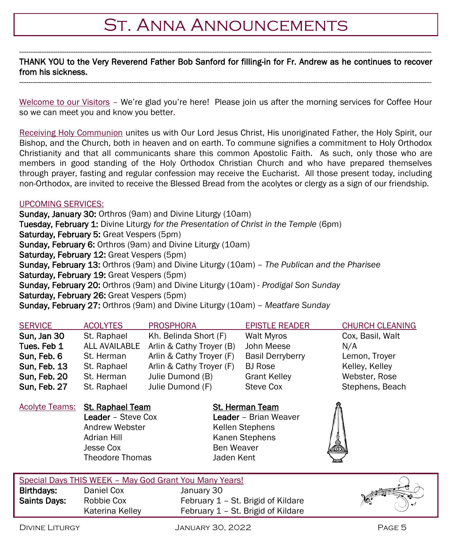# St. Anna Announcements

#### ---------------------------------------------------------------------------------------------------------------------------------------------------------------------------------------- THANK YOU to the Very Reverend Father Bob Sanford for filling-in for Fr. Andrew as he continues to recover from his sickness. ----------------------------------------------------------------------------------------------------------------------------------------------------------------------------------------

Welcome to our Visitors - We're glad you're here! Please join us after the morning services for Coffee Hour so we can meet you and know you better.

Receiving Holy Communion unites us with Our Lord Jesus Christ, His unoriginated Father, the Holy Spirit, our Bishop, and the Church, both in heaven and on earth. To commune signifies a commitment to Holy Orthodox Christianity and that all communicants share this common Apostolic Faith. As such, only those who are members in good standing of the Holy Orthodox Christian Church and who have prepared themselves through prayer, fasting and regular confession may receive the Eucharist. All those present today, including non-Orthodox, are invited to receive the Blessed Bread from the acolytes or clergy as a sign of our friendship.

#### UPCOMING SERVICES:

Sunday, January 30: Orthros (9am) and Divine Liturgy (10am) Tuesday, February 1: Divine Liturgy *for the Presentation of Christ in the Temple* (6pm) Saturday, February 5: Great Vespers (5pm) Sunday, February 6: Orthros (9am) and Divine Liturgy (10am) Saturday, February 12: Great Vespers (5pm) Sunday, February 13: Orthros (9am) and Divine Liturgy (10am) – *The Publican and the Pharisee* Saturday, February 19: Great Vespers (5pm) Sunday, February 20: Orthros (9am) and Divine Liturgy (10am) - *Prodigal Son Sunday* Saturday, February 26: Great Vespers (5pm) Sunday, February 27: Orthros (9am) and Divine Liturgy (10am) – *Meatfare Sunday*

| <b>SERVICE</b>      | <b>ACOLYTES</b> | <b>PROSPHORA</b>         | <b>EPISTLE READER</b>   | <b>CHURCH CLEANING</b> |
|---------------------|-----------------|--------------------------|-------------------------|------------------------|
| Sun, Jan 30         | St. Raphael     | Kh. Belinda Short (F)    | Walt Myros              | Cox, Basil, Walt       |
| Tues. Feb 1         | ALL AVAILABLE   | Arlin & Cathy Troyer (B) | John Meese              | N/A                    |
| Sun, Feb. 6         | St. Herman      | Arlin & Cathy Troyer (F) | <b>Basil Derryberry</b> | Lemon, Trover          |
| <b>Sun, Feb. 13</b> | St. Raphael     | Arlin & Cathy Troyer (F) | <b>BJ</b> Rose          | Kelley, Kelley         |
| Sun, Feb. 20        | St. Herman      | Julie Dumond (B)         | <b>Grant Kelley</b>     | Webster, Rose          |
| Sun, Feb. 27        | St. Raphael     | Julie Dumond (F)         | Steve Cox               | Stephens, Beach        |

Acolyte Teams: St. Raphael Team St. Herman Team Andrew Webster **Kellen Stephens** Adrian Hill Kanen Stephens Jesse Cox Ben Weaver Theodore Thomas Jaden Kent

Leader – Steve Cox Leader – Brian Weaver



|                     | Special Days THIS WEEK - May God Grant You Many Years! |                                    |      |
|---------------------|--------------------------------------------------------|------------------------------------|------|
| Birthdavs:          | Daniel Cox                                             | January 30                         | KARA |
| <b>Saints Davs:</b> | Robbie Cox                                             | February 1 – St. Brigid of Kildare |      |
|                     | Katerina Kelley                                        | February 1 - St. Brigid of Kildare | Y    |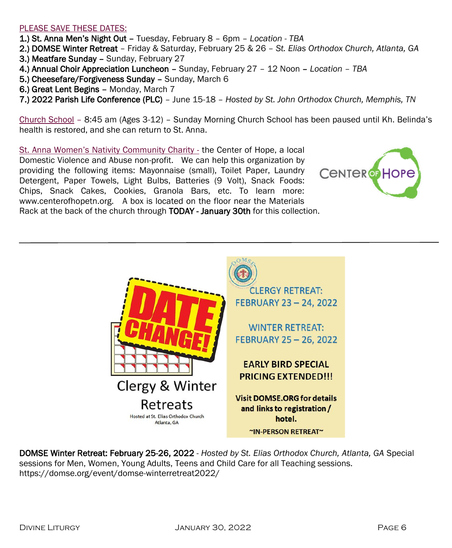#### PLEASE SAVE THESE DATES:

- 1.) St. Anna Men's Night Out Tuesday, February 8 6pm *Location - TBA*
- 2.) DOMSE Winter Retreat Friday & Saturday, February 25 & 26 *St. Elias Orthodox Church, Atlanta, GA*
- 3.) Meatfare Sunday Sunday, February 27
- 4.) Annual Choir Appreciation Luncheon Sunday, February 27 12 Noon *Location – TBA*
- 5.) Cheesefare/Forgiveness Sunday Sunday, March 6
- 6.) Great Lent Begins Monday, March 7
- 7.) 2022 Parish Life Conference (PLC) June 15-18 *Hosted by St. John Orthodox Church, Memphis, TN*

Church School – 8:45 am (Ages 3-12) – Sunday Morning Church School has been paused until Kh. Belinda's health is restored, and she can return to St. Anna.

St. Anna Women's Nativity Community Charity - the Center of Hope, a local Domestic Violence and Abuse non-profit. We can help this organization by providing the following items: Mayonnaise (small), Toilet Paper, Laundry Detergent, Paper Towels, Light Bulbs, Batteries (9 Volt), Snack Foods: Chips, Snack Cakes, Cookies, Granola Bars, etc. To learn more: www.centerofhopetn.org. A box is located on the floor near the Materials Rack at the back of the church through TODAY - January 30th for this collection.





DOMSE Winter Retreat: February 25-26, 2022 - *Hosted by St. Elias Orthodox Church, Atlanta, GA* Special sessions for Men, Women, Young Adults, Teens and Child Care for all Teaching sessions. https://domse.org/event/domse-winterretreat2022/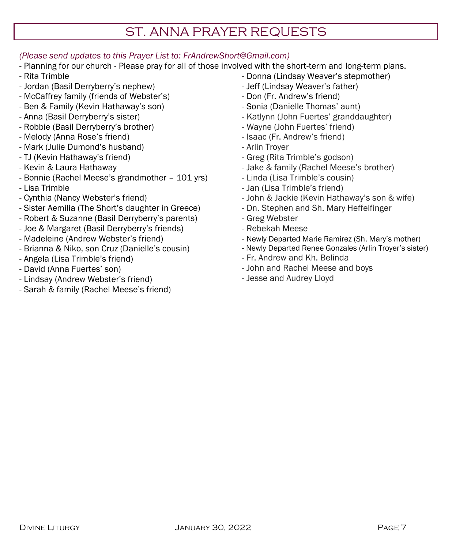## ST. ANNA PRAYER REQUESTS

#### *(Please send updates to this Prayer List to: FrAndrewShort@Gmail.com)*

- Planning for our church Please pray for all of those involved with the short-term and long-term plans.
- Rita Trimble
- Jordan (Basil Derryberry's nephew)
- McCaffrey family (friends of Webster's)
- Ben & Family (Kevin Hathaway's son)
- Anna (Basil Derryberry's sister)
- Robbie (Basil Derryberry's brother)
- Melody (Anna Rose's friend)
- Mark (Julie Dumond's husband)
- TJ (Kevin Hathaway's friend)
- Kevin & Laura Hathaway
- Bonnie (Rachel Meese's grandmother 101 yrs)
- Lisa Trimble
- Cynthia (Nancy Webster's friend)
- Sister Aemilia (The Short's daughter in Greece)
- Robert & Suzanne (Basil Derryberry's parents)
- Joe & Margaret (Basil Derryberry's friends)
- Madeleine (Andrew Webster's friend)
- Brianna & Niko, son Cruz (Danielle's cousin)
- Angela (Lisa Trimble's friend)
- David (Anna Fuertes' son)
- Lindsay (Andrew Webster's friend)
- Sarah & family (Rachel Meese's friend)
- Donna (Lindsay Weaver's stepmother) - Jeff (Lindsay Weaver's father)
- Don (Fr. Andrew's friend)
- Sonia (Danielle Thomas' aunt)
- Katlynn (John Fuertes' granddaughter)
- Wayne (John Fuertes' friend)
- Isaac (Fr. Andrew's friend)
- Arlin Troyer
- Greg (Rita Trimble's godson)
- Jake & family (Rachel Meese's brother)
- Linda (Lisa Trimble's cousin)
- Jan (Lisa Trimble's friend)
- John & Jackie (Kevin Hathaway's son & wife)
- Dn. Stephen and Sh. Mary Heffelfinger
- Greg Webster
- Rebekah Meese
- Newly Departed Marie Ramirez (Sh. Mary's mother)
- Newly Departed Renee Gonzales (Arlin Troyer's sister)
- Fr. Andrew and Kh. Belinda
- John and Rachel Meese and boys
- Jesse and Audrey Lloyd